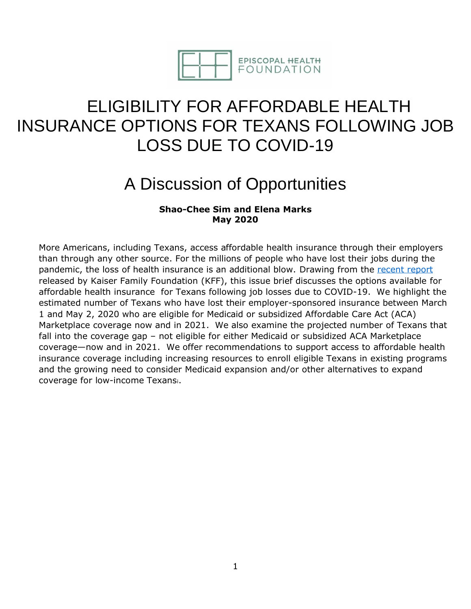

# ELIGIBILITY FOR AFFORDABLE HEALTH INSURANCE OPTIONS FOR TEXANS FOLLOWING JOB LOSS DUE TO COVID-19

# A Discussion of Opportunities

## **Shao-Chee Sim and Elena Marks May 2020**

More Americans, including Texans, access affordable health insurance through their employers than through any other source. For the millions of people who have lost their jobs during the pandemic, the loss of health insurance is an additional blow. Drawing from the [recent report](https://www.kff.org/coronavirus-covid-19/issue-brief/eligibility-for-aca-health-coverage-following-job-loss/) released by Kaiser Family Foundation (KFF), this issue brief discusses the options available for affordable health insurance for Texans following job losses due to COVID-19. We highlight the estimated number of Texans who have lost their employer-sponsored insurance between March 1 and May 2, 2020 who are eligible for Medicaid or subsidized Affordable Care Act (ACA) Marketplace coverage now and in 2021. We also examine the projected number of Texans that fall into the coverage gap – not eligible for either Medicaid or subsidized ACA Marketplace coverage—now and in 2021. We offer recommendations to support access to affordable health insurance coverage including increasing resources to enroll eligible Texans in existing programs and the growing need to consider Medicaid expansion and/or other alternatives to expand coverage for low-income Texansi.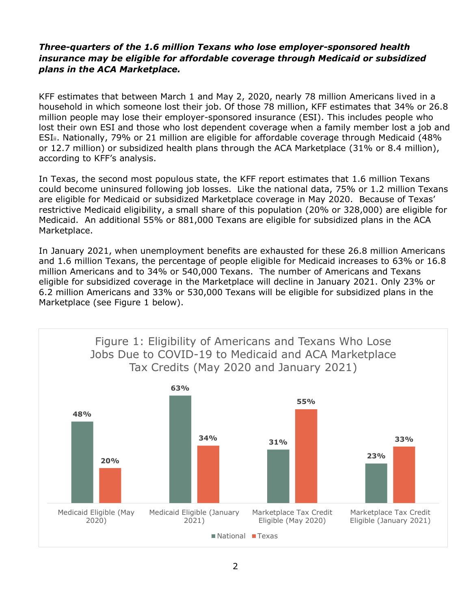### *Three-quarters of the 1.6 million Texans who lose employer-sponsored health insurance may be eligible for affordable coverage through Medicaid or subsidized plans in the ACA Marketplace.*

KFF estimates that between March 1 and May 2, 2020, nearly 78 million Americans lived in a household in which someone lost their job. Of those 78 million, KFF estimates that 34% or 26.8 million people may lose their employer-sponsored insurance (ESI). This includes people who lost their own ESI and those who lost dependent coverage when a family member lost a job and ESIii. Nationally, 79% or 21 million are eligible for affordable coverage through Medicaid (48% or 12.7 million) or subsidized health plans through the ACA Marketplace (31% or 8.4 million), according to KFF's analysis.

In Texas, the second most populous state, the KFF report estimates that 1.6 million Texans could become uninsured following job losses. Like the national data, 75% or 1.2 million Texans are eligible for Medicaid or subsidized Marketplace coverage in May 2020. Because of Texas' restrictive Medicaid eligibility, a small share of this population (20% or 328,000) are eligible for Medicaid. An additional 55% or 881,000 Texans are eligible for subsidized plans in the ACA Marketplace.

In January 2021, when unemployment benefits are exhausted for these 26.8 million Americans and 1.6 million Texans, the percentage of people eligible for Medicaid increases to 63% or 16.8 million Americans and to 34% or 540,000 Texans. The number of Americans and Texans eligible for subsidized coverage in the Marketplace will decline in January 2021. Only 23% or 6.2 million Americans and 33% or 530,000 Texans will be eligible for subsidized plans in the Marketplace (see Figure 1 below).

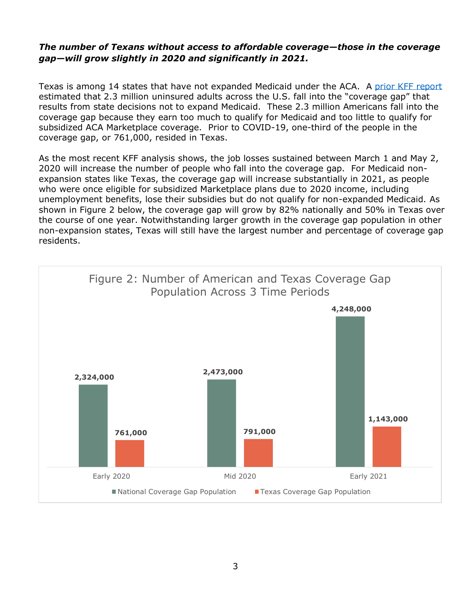#### *The number of Texans without access to affordable coverage—those in the coverage gap—will grow slightly in 2020 and significantly in 2021.*

Texas is among 14 states that have not expanded Medicaid under the ACA. A [prior KFF report](https://www.kff.org/medicaid/issue-brief/the-coverage-gap-uninsured-poor-adults-in-states-that-do-not-expand-medicaid/) estimated that 2.3 million uninsured adults across the U.S. fall into the "coverage gap" that results from state decisions not to expand Medicaid. These 2.3 million Americans fall into the coverage gap because they earn too much to qualify for Medicaid and too little to qualify for subsidized ACA Marketplace coverage. Prior to COVID-19, one-third of the people in the coverage gap, or 761,000, resided in Texas.

As the most recent KFF analysis shows, the job losses sustained between March 1 and May 2, 2020 will increase the number of people who fall into the coverage gap. For Medicaid nonexpansion states like Texas, the coverage gap will increase substantially in 2021, as people who were once eligible for subsidized Marketplace plans due to 2020 income, including unemployment benefits, lose their subsidies but do not qualify for non-expanded Medicaid. As shown in Figure 2 below, the coverage gap will grow by 82% nationally and 50% in Texas over the course of one year. Notwithstanding larger growth in the coverage gap population in other non-expansion states, Texas will still have the largest number and percentage of coverage gap residents.